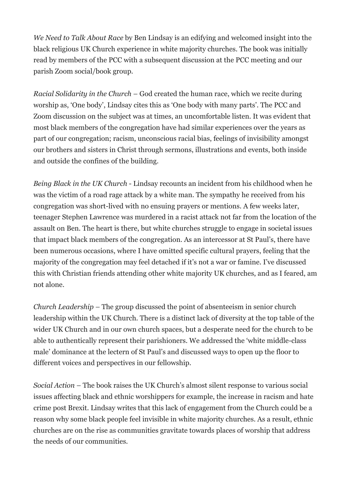*We Need to Talk About Race* by Ben Lindsay is an edifying and welcomed insight into the black religious UK Church experience in white majority churches. The book was initially read by members of the PCC with a subsequent discussion at the PCC meeting and our parish Zoom social/book group.

*Racial Solidarity in the Church –* God created the human race, which we recite during worship as, 'One body', Lindsay cites this as 'One body with many parts'. The PCC and Zoom discussion on the subject was at times, an uncomfortable listen. It was evident that most black members of the congregation have had similar experiences over the years as part of our congregation; racism, unconscious racial bias, feelings of invisibility amongst our brothers and sisters in Christ through sermons, illustrations and events, both inside and outside the confines of the building.

*Being Black in the UK Church* - Lindsay recounts an incident from his childhood when he was the victim of a road rage attack by a white man. The sympathy he received from his congregation was short-lived with no ensuing prayers or mentions. A few weeks later, teenager Stephen Lawrence was murdered in a racist attack not far from the location of the assault on Ben. The heart is there, but white churches struggle to engage in societal issues that impact black members of the congregation. As an intercessor at St Paul's, there have been numerous occasions, where I have omitted specific cultural prayers, feeling that the majority of the congregation may feel detached if it's not a war or famine. I've discussed this with Christian friends attending other white majority UK churches, and as I feared, am not alone.

*Church Leadership –* The group discussed the point of absenteeism in senior church leadership within the UK Church. There is a distinct lack of diversity at the top table of the wider UK Church and in our own church spaces, but a desperate need for the church to be able to authentically represent their parishioners. We addressed the 'white middle-class male' dominance at the lectern of St Paul's and discussed ways to open up the floor to different voices and perspectives in our fellowship.

*Social Action –* The book raises the UK Church's almost silent response to various social issues affecting black and ethnic worshippers for example, the increase in racism and hate crime post Brexit. Lindsay writes that this lack of engagement from the Church could be a reason why some black people feel invisible in white majority churches. As a result, ethnic churches are on the rise as communities gravitate towards places of worship that address the needs of our communities.